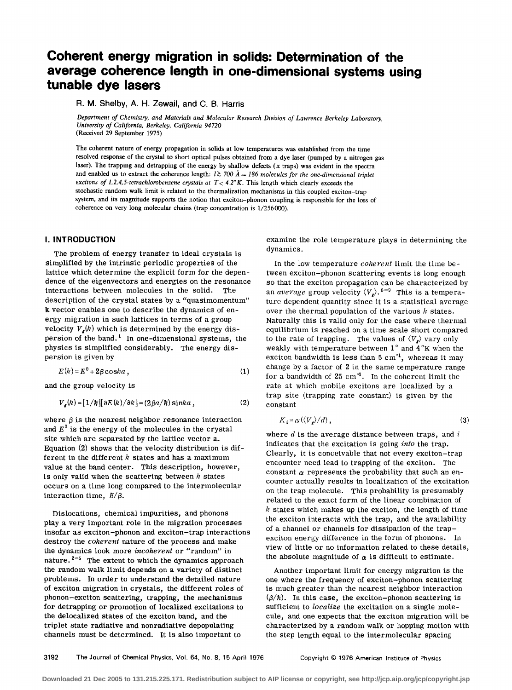# **Coherent energy migration in solids: Determination of the average coherence length in one-dimensional systems using tunable dye lasers**

R. M. Shelby, A. H. Zewail, and C. B. Harris

*Department of Chemistry, and Materials and Molecular Research Division of Lawrence Berkeley Laboratory, University of California, Berkeley, California 94720*  (Received 29 September 1975)

The coherent nature of energy propagation in solids at low temperatures was established from the time resolved response of the crystal to short optical pulses obtained from a dye laser (pumped by a nitrogen gas laser). The trapping and detrapping of the energy by shallow defects ( *x* traps) was evident in the spectra and enabled us to extract the coherence length:  $l \gtrsim 700 \text{ Å} = 186 \text{ molecules for the one-dimensional triplet}$ *excitons of 1,2,4,5-tetrachlorobenzene crystals at*  $T < 4.2$ °K. This length which clearly exceeds the stochastic random walk limit is related to the thermalization mechanisms in this coupled exciton-trap system, and its magnitude supports the notion that exciton-phonon coupling is responsible for the loss of coherence on very long molecular chains (trap concentration is 1/256000).

# I. **INTRODUCTION**

The problem of energy transfer in ideal crystals is simplified by the intrinsic periodic properties of the lattice which determine the explicit form for the dependence of the eigenvectors and energies on the resonance interactions between molecules in the solid. The description of the crystal states by a "quasimomentum" k vector enables one to describe the dynamics of energy migration in such lattices in terms of a group velocity  $V_r(k)$  which is determined by the energy dispersion of the band.<sup>1</sup> In one-dimensional systems, the physics is simplified considerably. The energy dispersion is given by

$$
E(k) = E^0 + 2\beta \cosh a \t{,} \t(1)
$$

and the group velocity is

$$
V_g(k) = [1/\hbar][\partial E(k)/\partial k] = (2\beta a/\hbar)\sin ka,
$$
 (2)

where  $\beta$  is the nearest neighbor resonance interaction and  $E^0$  is the energy of the molecules in the crystal site which are separated by the lattice vector a. Equation (2) shows that the velocity distribution is different in the different *k* states and has a maximum value at the band center. This description, however, is only valid when the scattering between *k* states occurs on a time long compared to the intermolecular interaction time,  $\hbar/\beta$ .

Dislocations, chemical impurities, and phonons play a very important role in the migration processes insofar as exciton-phonon and exciton-trap interactions destroy the *coherent* nature of the process and make the dynamics look more *incoherent* or "random" in nature.  $2-5$  The extent to which the dynamics approach the random walk limit depends on a variety of distinct problems. In order to understand the detailed nature of exciton migration in crystals, the different roles of phonon-exciton scattering, trapping, the mechanisms for detrapping or promotion of localized excitations to the delocalized states of the exciton band, and the triplet state radiative and nonradiative depopulating channels must be determined. It is also important to

examine the role temperature plays in determining the dynamics.

In the low temperature *coherent* limit the time between exciton-phonon scattering events is long enough so that the exciton propagation can be characterized by an *average* group velocity  $\langle V_e \rangle$ .<sup>6-9</sup> This is a temperature dependent quantity since it is a statistical average over the thermal population of the various *k* states. Naturally this is valid only for the case where thermal equilibrium is reached on a time scale short compared to the rate of trapping. The values of  $\langle V_{\rm g} \rangle$  vary only weakly with temperature between  $1^\circ$  and  $4^\circ K$  when the exciton bandwidth is less than  $5 \text{ cm}^{-1}$ , whereas it may change by a factor of 2 in the same temperature range for a bandwidth of  $25 \text{ cm}^{-1}$ . In the coherent limit the rate at which mobile excitons are localized by a trap site (trapping rate constant) is given by the constant

$$
K_i = \alpha(\langle V_g \rangle / d) \,, \tag{3}
$$

where  $d$  is the average distance between traps, and  $i$ indicates that the excitation is going *into* the trap. Clearly, it is conceivable that not every exciton-trap encounter need lead to trapping of the exciton. The constant  $\alpha$  represents the probability that such an encounter actually results in localization of the excitation on the trap molecule. This probability is presumably related to the exact form of the linear combination of *k* states which makes up the exciton, the length of time the exciton interacts with the trap, and the availability of a channel or channels for dissipation of the trapexciton energy difference in the form of phonons. In view of little or no information related to these details, the absolute magnitude of  $\alpha$  is difficult to estimate.

Another important limit for energy migration is the one where the frequency of exciton-phonon scattering is much greater than the nearest neighbor interaction  $(\beta/\hbar)$ . In this case, the exciton-phonon scattering is sufficient to *localize* the excitation on a single molecule, and one expects that the exciton migration will be characterized by a random walk or hopping motion with the step length equal to the intermolecular spacing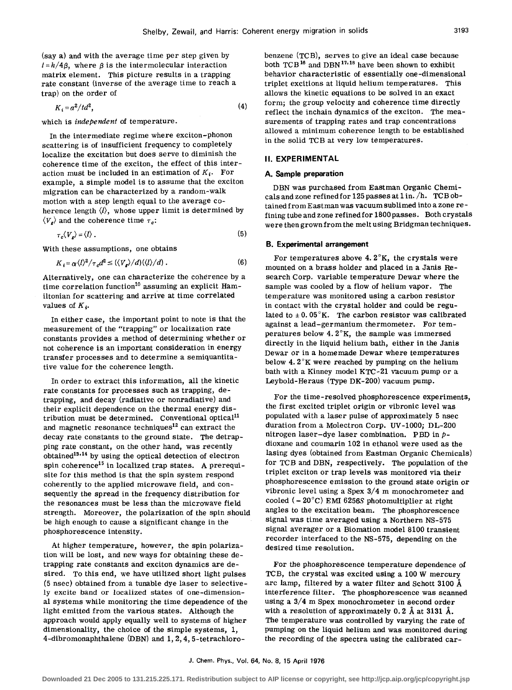(say a) and with the average time per step given by  $t = h/4\beta$ , where  $\beta$  is the intermolecular interaction matrix element. This picture results in a trapping rate constant (inverse of the average time to reach a trap) on the order of

$$
K_i = a^2 / t d^2, \tag{4}
$$

which is independent of temperature.

In the intermediate regime where exciton-phonon scattering is of insufficient frequency to completely localize the excitation but does serve to diminish the coherence time of the exciton, the effect of this interaction must be included in an estimation of  $K_i$ . For example, a simple model is to assume that the exciton migration can be characterized by a random-walk motion with a step length equal to the average coherence length  $\langle l \rangle$ , whose upper limit is determined by  $\langle V_{\rm r} \rangle$  and the coherence time  $\tau_c$ :

$$
\tau_c \langle V_s \rangle = \langle l \rangle \,. \tag{5}
$$

With these assumptions, one obtains

$$
K_i = \alpha \langle l \rangle^2 / \tau_c d^2 \le (\langle V_e \rangle / d) (\langle l \rangle / d) . \tag{6}
$$

Alternatively, one can characterize the coherence by a time correlation function<sup>10</sup> assuming an explicit Hamiltonian for scattering and arrive at time correlated values of  $K_i$ .

In either case, the important point to note is that the measurement of the "trapping" or localization rate constants provides a method of determining whether or not coherence is an important consideration in energy transfer processes and to determine a semiquantitative value for the coherence length.

In order to extract this information, all the kinetic rate constants for processes such as trapping, detrapping, and decay (radiative or nonradiative) and their explicit dependence on the thermal energy distribution must be determined. Conventional optical<sup>11</sup> and magnetic resonance techniques<sup>12</sup> can extract the decay rate constants to the ground state. The detrapping rate constant, on the other hand, was recently obtained<sup>13,14</sup> by using the optical detection of electron spin coherence<sup>15</sup> in localized trap states. A prerequisite for this method is that the spin system respond coherently to the applied microwave field, and consequently the spread in the frequency distribution for the resonances must be less than the microwave field strength. Moreover, the polarization of the spin should be high enough to cause a significant change in the phosphorescence intensity.

At higher temperature, however, the spin polarization will be lost, and new ways for obtaining these detrapping rate constants and exciton dynamics are desired. To this end, we have utilized short light pulses (5 nsec) obtained from a tunable dye laser to selectively excite band or localized states of one-dimensional systems while monitoring the time dependence of the light emitted from the various states. Although the approach would apply equally well to systems of higher dimensionality, the choice of the simple systems, 1, 4-dibromonaphthalene (DBN) and 1, 2, 4, 5-tetrachlorobenzene (TCB), serves to give an ideal case because both TCB<sup>16</sup> and DBN<sup>17,18</sup> have been shown to exhibit behavior characteristic of essentially one-dimensional triplet excitions at liquid helium temperatures. This allows the kinetic equations to be solved in an exact form; the group velocity and coherence time directly reflect the inchain dynamics of the exciton. The measurements of trapping rates and trap concentrations allowed a minimum coherence length to be established in the solid TCB at very low temperatures.

# **II. EXPERIMENTAL**

#### **A. Sample preparation**

DBN was purchased from Eastman Organic Chemicals and zone refined for 125 passes at 1 in. /h. TCB obtained from Eastman was vacuum sublimed into a zone refining tube and zone refined for 1800passes. Both crystals were then grown from the melt using Bridgman techniques.

#### **B. Experimental arrangement**

For temperatures above 4. 2°K, the crystals were mounted on a brass holder and placed in a Janis Research Corp. variable temperature Dewar where the sample was cooled by a flow of helium vapor. The temperature was monitored using a carbon resistor in contact with the crystal holder and could be regulated to  $\pm$  0. 05°K. The carbon resistor was calibrated against a lead-germanium thermometer. For temperatures below  $4.2^{\circ}\text{K}$ , the sample was immersed directly in the liquid helium bath, either in the Janis Dewar or in a homemade Dewar where temperatures below 4. 2°K were reached by pumping on the helium bath with a Kinney model KTC-21 vacuum pump or a Leybold-Heraus (TYPe DK-200) vacuum pump.

For the time-resolved phosphorescence experiments, the first excited triplet origin or vibronic level was populated with a laser pulse of approximately 5 nsec duration from a Molectron Corp. UV -1000; DL-200 nitrogen laser-dye laser combination. PBD in  $p$ dioxane and coumarin 102 in ethanol were used as the lasing dyes (obtained from Eastman Organic Chemicals) for TCB and DBN, respectively. The population of the triplet exciton or trap levels was monitored via their phosphorescence emission to the ground state origin or vibronic level using a Spex 3/4 m monochrometer and cooled  $(-20^{\circ}$ C) EMI 6256S photomultiplier at right angles to the excitation beam. The phosphorescence signal was time averaged using a Northern NS-575 signal averager or a Biomation model 8100 transient recorder interfaced to the NS-575, depending on the desired time resolution.

For the phosphorescence temperature dependence of TCB, the crystal was excited using a 100 W mercury arc lamp, filtered by a water filter and Schott 3100 A interference filter. The phosphorescence was scanned using a 3/4 m Spex monochrometer in second order with a resolution of approximately  $0.2$  Å at 3131 Å. The temperature was controlled by varying the rate of pumping on the liquid helium and was monitored during the recording of the spectra using the calibrated car-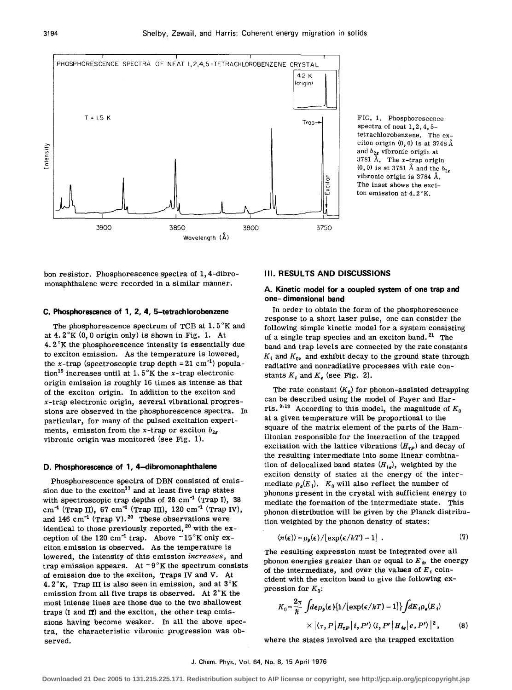

FIG. 1. Phosphorescence spectra of neat 1, 2, 4, 5tetrachlorobenzene. The exciton origin  $(0, 0)$  is at 3748 Å and  $b_{2g}$  vibronic origin at 3781 Å. The  $x$ -trap origin  $(0, 0)$  is at 3751 Å and the  $b_{2g}$ vibronic origin is 3784 A. The inset shows the exciton emission at 4. 2 °K.

bon resistor. Phosphorescence spectra of 1, 4-dibromonaphthalene were recorded in a similar manner.

#### **C. Phosphorescence of 1, 2, 4, 5-tetrachlorobenzene**

The phosphorescence spectrum of TCB at  $1.5^{\circ}$ K and at  $4.2^{\circ}$ K $(0, 0$  origin only) is shown in Fig. 1. At 4.  $2^\circ$ K the phosphorescence intensity is essentially due to exciton emission. As the temperature is lowered, the x-trap (spectroscopic trap depth =  $21 \text{ cm}^{-1}$ ) population<sup>19</sup> increases until at 1.5°K the x-trap electronic origin emission is roughly 16 times as intense as that of the exciton origin. In addition to the exciton and x-trap electronic origin, several vibrational progressions are observed in the phosphorescence spectra. In particular, for many of the pulsed excitation experiments, emission from the x-trap or exciton  $b_{2g}$ vibronic origin was monitored (see Fig. 1).

#### **D. Phosphorescence of 1, 4-dibromonaphthalene**

Phosphorescence spectra of DBN consisted of emission due to the exciton<sup>17</sup> and at least five trap states with spectroscopic trap depths of  $28 \text{ cm}^{-1}$  (Trap I),  $38$  $cm^{-1}$  (Trap II), 67 cm<sup>-1</sup> (Trap III), 120 cm<sup>-1</sup> (Trap IV), and 146  $cm^{-1}$  (Trap V). <sup>20</sup> These observations were identical to those previously reported,  $20$  with the exception of the 120 cm<sup>-1</sup> trap. Above  $\sim$  15°K only exciton emission is observed. As the temperature is lowered, the intensity of this emission *increases,* and trap emission appears. At  $\sim 9^\circ K$  the spectrum consists of emission due to the exciton, Traps IV and V. At 4.  $2^\circ$ K, Trap III is also seen in emission, and at  $3^\circ$ K emission from all five traps is observed. At  $2^\circ K$  the most intense lines are those due to the two shallowest traps (I and It) and the exciton, the other trap emissions having become weaker. In all the above spectra, the characteristic vibronic progression was observed.

# **Ill. RESULTS AND DISCUSSIONS**

# **A. Kinetic model for a coupled system of one trap and one- dimensional band**

In order to obtain the form of the phosphorescence response to a short laser pulse, one can consider the following simple kinetic model for a system consisting of a single trap species and an exciton band.<sup>21</sup> The band and trap levels are connected by the rate constants  $K_i$  and  $K_0$ , and exhibit decay to the ground state through radiative and nonradiative processes with rate constants  $K_t$  and  $K_s$  (see Fig. 2).

The rate constant  $(K_0)$  for phonon-assisted detrapping can be described using the model of Fayer and Harris.<sup>9,13</sup> According to this model, the magnitude of  $K_0$ at a given temperature will be proportional to the square of the matrix element of the parts of the Hamiltonian responsible for the interaction of the trapped excitation with the lattice vibrations  $(H_{\tau P})$  and decay of the resulting intermediate into some linear combination of delocalized band states  $(H_{iq})$ , weighted by the exciton density of states at the energy of the intermediate  $\rho_e(E_i)$ .  $K_0$  will also reflect the number of phonons present in the crystal with sufficient energy to mediate the formation of the intermediate state. This phonon distribution will be given by the Planck distribution weighted by the phonon density of states:

$$
\langle n(\epsilon) \rangle = \rho_p(\epsilon) / [\exp(\epsilon / kT) - 1] \tag{7}
$$

The resulting expression must be integrated over all phonon energies greater than or equal to  $E_i$ , the energy of the intermediate, and over the values of  $E_i$  coincident with the exciton band to give the following expression for  $K_0$ :

$$
K_0 = \frac{2\pi}{\hbar} \int d\epsilon \rho_\rho(\epsilon) \{1/[\exp(\epsilon/kT) - 1]\} f dE_i \rho_\rho(E_i)
$$
  
 
$$
\times |\langle \tau, P | H_{\tau P} | i, P' \rangle \langle i, P' | H_{\iota_\rho} | e, P' \rangle |^2, \qquad (8)
$$

where the states involved are the trapped excitation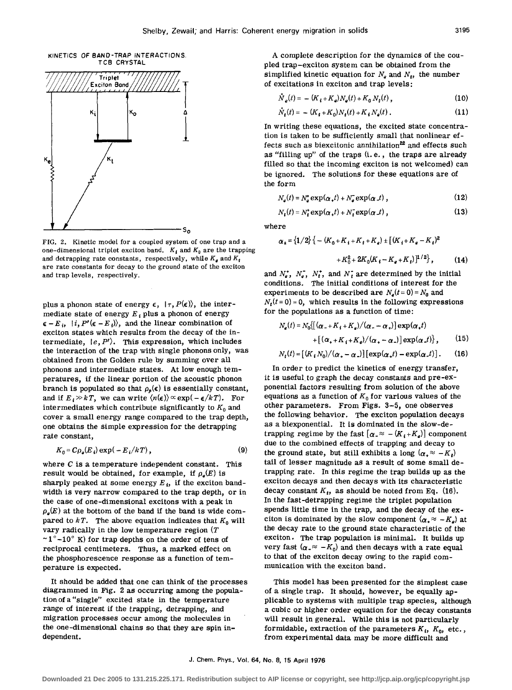



FIG. 2. Kinetic model for a coupled system of one trap and a one-dimensional triplet exciton band.  $K_i$  and  $K_0$  are the trapping and detrapping rate constants, respectively, while  $K_{\theta}$  and  $K_{\mathfrak{t}}$ are rate constants for decay to the ground state of the exciton and trap *levels,* respectively.

plus a phonon state of energy  $\epsilon$ ,  $|\tau, P(\epsilon)\rangle$ , the intermediate state of energy  $E_i$  plus a phonon of energy  $\epsilon - E_i$ ,  $|i, P'(\epsilon - E_i)\rangle$ , and the linear combination of exciton states which results from the decay of the intermediate,  $|e, P'\rangle$ . This expression, which includes the interaction of the trap with single phonons only, was obtained from the Golden rule by summing over all phonons and intermediate states. At low enough temperatures, if the linear portion of the acoustic phonon branch is populated so that  $\rho_{\theta}(\epsilon)$  is essentially constant, and if  $E_i \gg kT$ , we can write  $\langle n(\epsilon) \rangle \propto \exp(-\epsilon/kT)$ . For intermediates which contribute significantly to  $K_0$  and cover a small energy range compared to the trap depth, one obtains the simple expression for the detrapping rate constant,

$$
K_0 = C \rho_e(E_i) \exp(-E_i/kT), \qquad (9)
$$

where C is a temperature independent constant. This result would be obtained, for example, if  $\rho_e(E)$  is sharply peaked at some energy  $E_i$ , if the exciton bandwidth is very narrow compared to the trap depth, or in the case of one-dimensional excitons with a peak in  $\rho_{\rm g}(E)$  at the bottom of the band if the band is wide compared to  $kT$ . The above equation indicates that  $K_0$  will vary radically in the low temperature region  $(T)$  $\sim$ 1 $^{\circ}$  -10 $^{\circ}$  K) for trap depths on the order of tens of reciprocal centimeters. Thus, a marked effect on the phosphorescence response as a function of temperature is expected.

It should be added that one can think of the processes diagrammed in Fig. 2 as occurring among the population of a "single" excited state in the temperature range of interest if the trapping, detrapping, and migration processes occur among the molecules in the one-dimensional chains so that they are spin independent.

A complete description for the dynamics of the coupled trap-exciton system can be obtained from the simplified kinetic equation for  $N_a$  and  $N_t$ , the number of excitations in exciton and trap levels:

$$
\dot{N}_e(t) = -\left(K_i + K_e\right)N_e(t) + K_0 N_t(t) \,, \tag{10}
$$

$$
\dot{N}_t(t) = -\left(K_t + K_0\right) N_t(t) + K_t N_o(t) \tag{11}
$$

In writing these equations, the excited state concentration is taken to be sufficiently small that nonlinear effects such as biexcitonic annihilation<sup>22</sup> and effects such as "filling up" of the traps (i.e., the traps are already filled so that the incoming exciton is not welcomed) can be ignored. The solutions for these equations are of the form

$$
N_{a}(t) = N_{a}^{*} \exp(\alpha_{+}t) + N_{a}^{*} \exp(\alpha_{-}t) , \qquad (12)
$$

$$
N_{t}(t) = N_{t}^{*} \exp(\alpha_{t} t) + N_{t}^{*} \exp(\alpha_{t} t) , \qquad (13)
$$

where

$$
\alpha_{\pm} = \left\{ 1/2 \right\} \left\{ - (K_0 + K_1 + K_t + K_e) \pm \left[ (K_1 + K_e - K_t)^2 + K_0^2 + 2K_0(K_1 - K_e + K_t) \right]^{1/2} \right\},\tag{14}
$$

and  $N_e^*$ ,  $N_e^-$ ,  $N_t^*$ , and  $N_t^-$  are determined by the initial conditions. The initial conditions of interest for the experiments to be described are  $N_e(t=0) = N_0$  and  $N_t(t=0) = 0$ , which results in the following expressions for the populations as a function of time:

$$
N_e(t) = N_0 \{ [\alpha_- + K_i + K_e) / (\alpha_- - \alpha_+)] \exp(\alpha_+ t)
$$
  
+ 
$$
[ (\alpha_+ + K_i + K_e) / (\alpha_+ - \alpha_-)] \exp(\alpha_- t) \},
$$
 (15)  

$$
N_t(t) = [ (K_i N_0) / (\alpha_+ - \alpha_-)] [\exp(\alpha_+ t) - \exp(\alpha_- t) ].
$$

In order to predict the kinetics of energy transfer, it is useful. to graph the decay constants and pre-exponential factors resulting from solution of the above equations as a function of  $K_0$  for various values of the other parameters. From Figs. 3-5, one observes the following behavior. The exciton population decays as a biexponential. It is dominated in the slow-detrapping regime by the fast  $[\alpha_{\bullet} \approx - (K_i + K_{\bullet})]$  component due to the combined effects of trapping and decay to the ground state, but still exhibits a long  $(\alpha_+ \approx -K_t)$ tail of lesser magnitude as a result of some small detrapping rate. In this regime the trap builds up as the exciton decays and then decays with its characteristic decay constant  $K_t$ , as should be noted from Eq. (16). In the fast-detrapping regime the triplet population spends little time in the trap, and the decay of the exciton is dominated by the slow component  $(\alpha_* \approx -K_a)$  at the decay rate to the ground state characteristic of the exciton. The trap population is minimal. It builds up very fast  $(\alpha_{-} \approx -K_0)$  and then decays with a rate equal to that of the exciton decay owing to the rapid communication with the exciton band.

This model has been presented for the simplest case of a single trap. It should, however, be equally applicable to systems with multiple trap species, although a cubic or higher order equation for the decay constants will result in general. While this is not particularly formidable, extraction of the parameters  $K_i$ ,  $K_0$ , etc., from experimental data may be more difficult and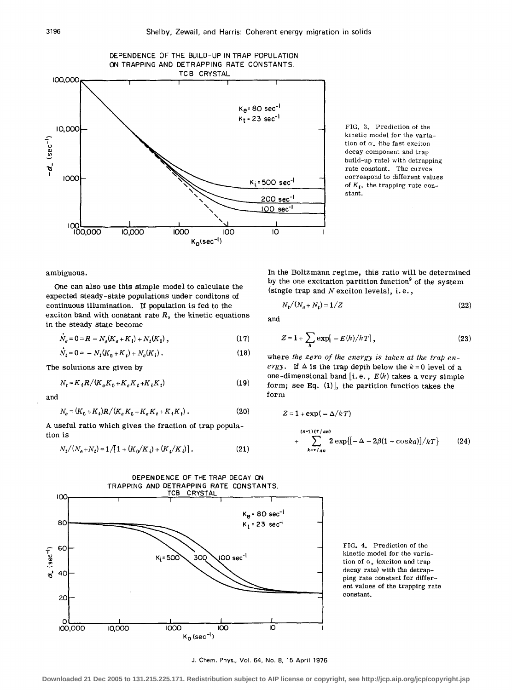

FIG. 3. Prediction of the kinetic model for the variation of  $\alpha$ <sub>-</sub> (the fast exciton decay component and trap build-up rate) with detrapping rate constant. The curves correspond to different values of  $K_i$ , the trapping rate constant.

ambiguous.

One can also use this simple model to calculate the expected steady-state populations under conditons of continuous illumination. If population is fed to the exciton band with constant rate *R,* the kinetic equations in the steady state become

$$
\dot{N}_e = 0 = R - N_e(K_e + K_i) + N_t(K_0) \,, \tag{17}
$$

$$
\dot{N}_t = 0 = -N_t(K_0 + K_t) + N_e(K_i) \,. \tag{18}
$$

The solutions are given by

$$
N_{t} = K_{t} R / (K_{e} K_{0} + K_{e} K_{t} + K_{t} K_{t})
$$
\n(19)

and

$$
N_e = (K_0 + K_t)R/(K_e K_0 + K_e K_t + K_t K_t).
$$
 (20)

A useful ratio which gives the fraction of trap population is

$$
N_t/(N_e + N_t) = 1/[1 + (K_0/K_i) + (K_t/K_i)].
$$
 (21)

In the Boltzmann regime, this ratio will be determined by the one excitation partition function<sup>9</sup> of the system (single trap and N exciton levels), i.e.,

$$
N_t/(N_e+N_t)=1/Z
$$
 (22)

and

$$
Z = 1 + \sum_{k} \exp[-E(k)/k] \,, \tag{23}
$$

where *the zero of the energy is taken at the trap energy.* If  $\Delta$  is the trap depth below the  $k = 0$  level of a one-dimensional band [i.e., *E(k)* takes a very simple form; see Eq.  $(1)$ ], the partition function takes the form

$$
(20) \tZ = 1 + \exp(-\Delta/kT)
$$

$$
+\sum_{k=\pi/an}^{(n-1)(\pi/an)} 2 \exp\{[-\Delta-2\beta(1-\cos ka)]/kT\} \qquad (24)
$$



FIG. 4. Prediction of the kinetic model for the variation of  $\alpha_{\star}$  (exciton and trap decay rate) with the detrapping rate constant for different values of the trapping rate constant.

J. Chem. Phys., Vol. 64, No. 8, 15 April 1976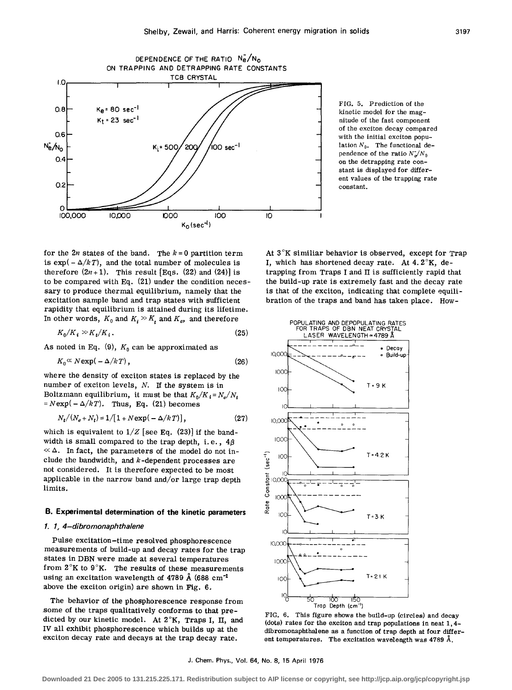

FIG. 5. Prediction of the kinetic model for the magnitude of the fast component of the exciton decay compared with the initial exciton population  $N_{0}$ . The functional dependence of the ratio  $N_{\alpha}/N_0$ on the detrapping rate constant is displayed for different values of the trapping rate constant.

for the  $2n$  states of the band. The  $k = 0$  partition term is  $\exp(-\Delta/kT)$ , and the total number of molecules is therefore  $(2n+1)$ . This result [Eqs. (22) and (24)] is to be compared with Eq. (21) under the condition necessary to produce thermal equilibrium, namely that the excitation sample band and trap states with sufficient rapidity that equilibrium is attained during its lifetime. In other words,  $K_0$  and  $K_i \gg K_i$  and  $K_e$ , and therefore

$$
K_0/K_i \gg K_t/K_i. \tag{25}
$$

As noted in Eq. (9),  $K_0$  can be approximated as

$$
K_0^{\alpha} N \exp(-\Delta/kT), \qquad (26)
$$

where the density of exciton states is replaced by the number of exciton levels, N. If the system is in Boltzmann equilibrium, it must be that  $K_0/K_i = N_e/N_i$  $N = N \exp(-\Delta/k)$ . Thus, Eq. (21) becomes

$$
N_t/(N_e + N_t) = 1/[1 + N \exp(-\Delta/kT)], \qquad (27)
$$

which is equivalent to  $1/Z$  [see Eq. (23)] if the bandwidth is small compared to the trap depth, i.e.,  $4\beta$  $\ll \Delta$ . In fact, the parameters of the model do not include the bandwidth, and  $k$ -dependent processes are not considered. It is therefore expected to be most applicable in the narrow band and/or large trap depth limits.

# B. Experimental determination of the kinetic parameters

#### 1. 1, 4-dibromonaphtha/ene

Pulse excitation-time resolved phosphorescence measurements of build-up and decay rates for the trap states in DBN were made at several temperatures from  $2^\circ K$  to  $9^\circ K$ . The results of these measurements using an excitation wavelength of 4789 Å (688 cm<sup>-1</sup> above the exciton origin) are shown in Fig. 6.

The behavior of the phosphorescence response from some of the traps qualitatively conforms to that predicted by our kinetic model. At 2°K, Traps I, II, and IV all exhibit phosphorescence which builds up at the exciton decay rate and decays at the trap decay rate.

At  $3^\circ K$  similiar behavior is observed, except for Trap I, which has shortened decay rate. At 4. 2°K, detrapping from Traps I and II is sufficiently rapid that the build-up rate is extremely fast and the decay rate is that of the exciton, indicating that complete equilibration of the traps and band has taken place. How-



FIG. 6. This figure shows the build-up (circles) and decay (dots) rates for the exciton and trap populations in neat 1, 4 dibromonaphthalene as a function of trap depth at four different temperatures. The excitation wavelength was 4789 A.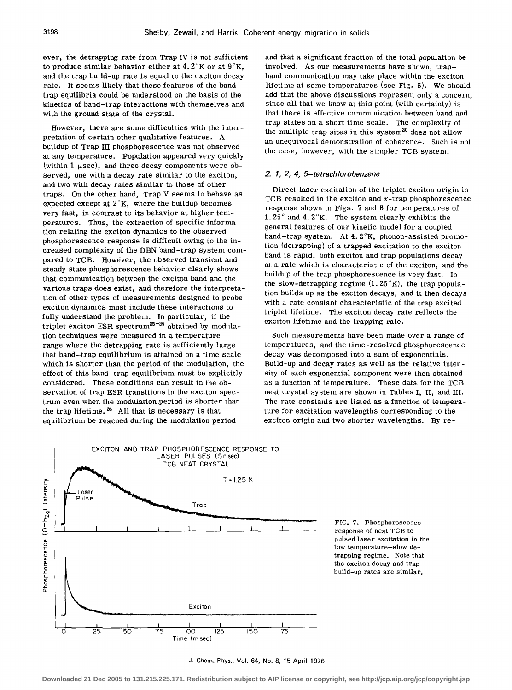ever, the detrapping rate from Trap IV is not sufficient to produce similar behavior either at  $4.2^{\circ}$ K or at  $9^{\circ}$ K, and the trap build-up rate is equal to the exciton decay rate. It seems likely that these features of the bandtrap equilibria could be understood on the basis of the kinetics of band-trap interactions with themselves and with the ground state of the crystal.

However, there are some difficulties with the interpretation of certain other qualitative features. A buildup of Trap ill phosphorescence was not observed at any temperature. Population appeared very quickly (within 1  $\mu$ sec), and three decay components were observed, one with a decay rate similar to the exciton, and two with decay rates similar to those of other traps. On the other hand, Trap V seems to behave as expected except at  $2^{\circ}K$ , where the buildup becomes very fast, in contrast to its behavior at higher temperatures. Thus, the extraction of specific information relating the exciton dynamics to the observed phosphorescence response is difficult owing to the increased complexity of the DBN band-trap system compared to TCB. However, the observed transient and steady state phosphorescence behavior clearly shows that communication between the exciton band and the various traps does exist, and therefore the interpretation of other types of measurements designed to probe exciton dynamics must include these interactions to fully understand the problem. In particular, if the triplet exciton ESR spectrum<sup>23-25</sup> obtained by modulation techniques were measured in a temperature range where the detrapping rate is sufficiently large that band-trap equilibrium is attained on a time scale which is shorter than the period of the modulation, the effect of this band-trap equilibrium must be explicitly considered. These conditions can result in the observation of trap ESR transitions in the exciton spectrum even when the modulation period is shorter than the trap lifetime.<sup>26</sup> All that is necessary is that equilibrium be reached during the modulation period

and that a significant fraction of the total population be involved. As our measurements have shown, trapband communication may take place within the exciton lifetime at some temperatures (see Fig. 6). We should add that the above discussions represent only a concern, since all that we know at this point (with certainty) is that there is effective communication between band and trap states on a short time scale. The complexity of the multiple trap sites in this system<sup>20</sup> does not allow an unequivocal demonstration of coherence. Such is not the case, however, with the simpler TCB system.

# *2. 1, 2, 4, 5-tetrachlorobenzene*

Direct laser excitation of the triplet exciton origin in TCB resulted in the exciton and  $x$ -trap phosphorescence response shown in Figs. 7 and 8 for temperatures of 1. 25° and 4. 2°K. The system clearly exhibits the general features of our kinetic model for a coupled band-trap system. At 4. 2°K, phonon-assisted promotion (detrapping) of a trapped excitation to the exciton band is rapid; both exciton and trap populations decay at a rate which is characteristic of the exciton, and the buildup of the trap phosphorescence is very fast. In the slow-detrapping regime  $(1.25\textdegree K)$ , the trap population builds up as the exciton decays, and it then decays with a rate constant characteristic of the trap excited triplet lifetime. The exciton decay rate reflects the exciton lifetime and the trapping rate.

Such measurements have been made over a range of temperatures, and the time-resolved phosphorescence decay was decomposed into a sum of exponentials. Build-up and decay rates as well as the relative intensity of each exponential component were then obtained as a function of temperature. These data for the TCB neat crystal system are shown in Tables I, II, and III. The rate constants are listed as a function of temperature for excitation wavelengths corresponding to the exciton origin and two shorter wavelengths. By re-



FIG. 7. Phosphorescence response of neat TCB to pulsed laser excitation in the low temperature-slow detrapping regime. Note that the exciton decay and trap build-up rates are similar.

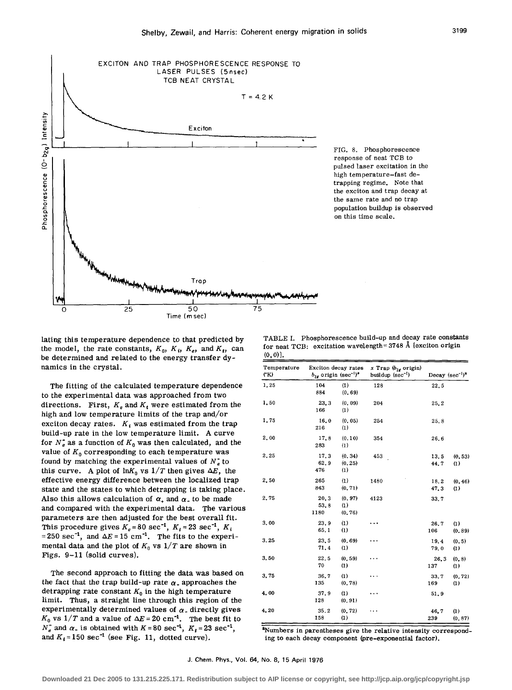

FIG. 8. Phosphorescence response of neat TCB to pulsed laser excitation in the high temperature-fast detrapping regime. Note that the exciton and trap decay at the same rate and no trap population buildup is observed on this time scale.

lating this temperature dependence to that predicted by the model, the rate constants,  $K_0$ ,  $K_i$ ,  $K_e$ , and  $K_i$ , can be determined and related to the energy transfer dynamics in the crystal.

The fitting of the calculated temperature dependence to the experimental data was approached from two directions. First,  $K_e$  and  $K_t$  were estimated from the high and low temperature limits of the trap and/or exciton decay rates.  $K_i$  was estimated from the trap build-up rate in the low temperature limit. A curve for  $N_e$  as a function of  $K_0$  was then calculated, and the value of  $K_0$  corresponding to each temperature was found by matching the experimental values of  $N_e^*$  to this curve. A plot of  $\ln K_0$  vs  $1/T$  then gives  $\Delta E$ , the effective energy difference between the localized trap state and the states to which detrapping is taking place. Also this allows calculation of  $\alpha$ , and  $\alpha$  to be made and compared with the experimental data. The various parameters are then adjusted for the best overall fit. This procedure gives  $K_e = 80 \text{ sec}^{-1}$ ,  $K_f = 23 \text{ sec}^{-1}$ ,  $K_i$ =250 sec<sup>-1</sup>, and  $\Delta E = 15$  cm<sup>-1</sup>. The fits to the experimental data and the plot of  $K_0$  vs  $1/T$  are shown in Figs. 9-11 (solid curves).

The second approach to fitting the data was based on the fact that the trap build-up rate  $\alpha$ <sub>-</sub> approaches the detrapping rate constant  $K_0$  in the high temperature limit. Thus, a straight line through this region of the experimentally determined values of  $\alpha$ <sub>-</sub> directly gives  $K_0$  vs  $1/T$  and a value of  $\Delta E = 20$  cm<sup>-1</sup>. The best fit to  $N_e^{\circ}$  and  $\alpha$ <sub>-</sub> is obtained with  $K=80$  sec<sup>-1</sup>,  $K_t = 23$  sec<sup>-1</sup>, and  $K_i = 150 \text{ sec}^{-1}$  (see Fig. 11, dotted curve).

TABLE I. Phosphorescence build-up and decay rate constants for neat TCB: excitation wavelength= $3748$  Å [exciton origin (0, 0)).

| Temperature<br>(YK) | $b_{2r}$ origin (sec <sup>-1)a</sup> | Exciton decay rates      | x Trap $(b_{2g}$ origin)<br>buildup (sec <sup>-1</sup> ) |              | Decay $(\sec^{-1})^2$       |
|---------------------|--------------------------------------|--------------------------|----------------------------------------------------------|--------------|-----------------------------|
| 1.25                | 104<br>884                           | (1)<br>(0, 69)           | 128                                                      | 22.5         |                             |
| 1,50                | 23.3<br>166                          | (0, 09)<br>(1)           | 204                                                      | 25.2         |                             |
| 1,75                | 16.0<br>216                          | (0, 05)<br>(1)           | 254                                                      | 25.8         |                             |
| 2.00                | 17.8<br>283                          | (0.10)<br>(1)            | 354                                                      | 26.6         |                             |
| 2.25                | 17.3<br>62.9<br>476                  | (0.34)<br>(0, 25)<br>(1) | 453                                                      | 13.5<br>44.7 | (0, 53)<br>$\left(1\right)$ |
| 2.50                | 265<br>843                           | (1)<br>(0, 71)           | 1480                                                     | 18.2<br>47.3 | (0, 46)<br>(1)              |
| 2.75                | 20.3<br>53.8<br>1180                 | (0, 97)<br>(1)<br>(0.76) | 4123                                                     | 33.7         |                             |
| 3.00                | 23.9<br>65.1                         | (1)<br>(1)               |                                                          | 26.7<br>106  | (1)<br>(0, 89)              |
| 3.25                | 23.5<br>71.4                         | (0.69)<br>(1)            |                                                          | 19.4<br>79.0 | (0, 5)<br>(1)               |
| 3.50                | 22.5<br>70                           | (0, 59)<br>(1)           |                                                          | 26.3<br>137  | (0, 8)<br>(1)               |
| 3.75                | 36.7<br>135                          | (1)<br>(0, 78)           |                                                          | 33.7<br>169  | (0, 72)<br>(1)              |
| 4.00                | 37.9<br>128                          | (1)<br>(0, 91)           |                                                          | 51.9         |                             |
| 4,20                | 35.2<br>158                          | (0.72)<br>(1)            |                                                          | 46.7<br>239  | (1)<br>(0, 87)              |

<sup>a</sup>Numbers in parentheses give the relative intensity corresponding to each decay component (pre-exponential factor).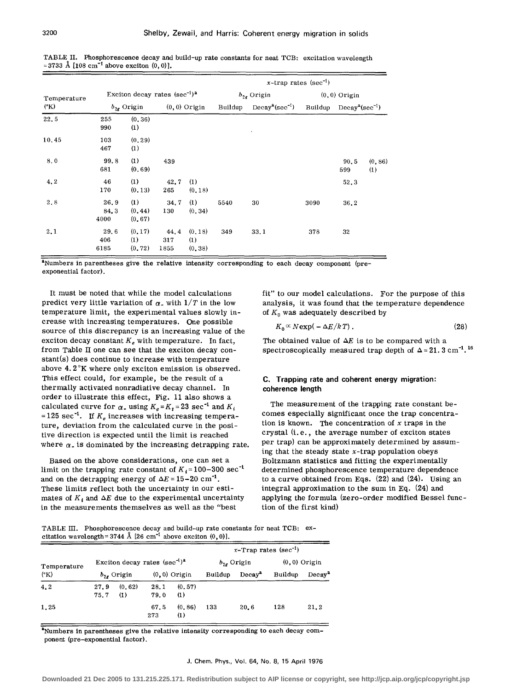|                       |                      |                                     |                     |                           | x-trap rates (sec <sup>-1</sup> ) |                                                 |                                                 |              |                |  |
|-----------------------|----------------------|-------------------------------------|---------------------|---------------------------|-----------------------------------|-------------------------------------------------|-------------------------------------------------|--------------|----------------|--|
| Temperature           |                      | Exciton decay rates $(\sec^{-1})^a$ |                     |                           | $b_{2g}$ Origin                   |                                                 | $(0, 0)$ Origin                                 |              |                |  |
| $({}^{\circ}{\rm K})$ |                      | $b_{2g}$ Origin                     |                     | $(0, 0)$ Origin           |                                   | Buildup Decay <sup>2</sup> (sec <sup>-1</sup> ) | Buildup Decay <sup>a</sup> (sec <sup>-1</sup> ) |              |                |  |
| 22.5                  | 255<br>990           | (0, 36)<br>(1)                      |                     |                           |                                   |                                                 |                                                 |              |                |  |
| 10.45                 | 103<br>467           | (0.29)<br>(1)                       |                     |                           |                                   |                                                 |                                                 |              |                |  |
| 8.0                   | 99.8<br>681          | (1)<br>(0.69)                       | 439                 |                           |                                   |                                                 |                                                 | 90, 5<br>599 | (0, 86)<br>(1) |  |
| 4.2                   | 46<br>170            | (1)<br>(0, 13)                      | 42.7<br>265         | (1)<br>(0, 18)            |                                   |                                                 |                                                 | 52.3         |                |  |
| 2.8                   | 26.9<br>84.3<br>4000 | (1)<br>(0, 44)<br>(0, 67)           | 34.7<br>130         | (1)<br>(0, 34)            | 5540                              | 30                                              | 3090                                            | 36.2         |                |  |
| 2.1                   | 29.6<br>406<br>6185  | (0, 17)<br>(1)<br>(0, 72)           | 44.4<br>317<br>1855 | (0, 18)<br>(1)<br>(0, 38) | 349                               | 33.1                                            | 378                                             | 32           |                |  |

TABLE II. Phosphorescence decay and build-up rate constants for neat TCB: excitation wavelength  $=3733$  Å [108 cm<sup>-1</sup> above exciton  $(0, 0)$ ].

<sup>a</sup>Numbers in parentheses give the relative intensity corresponding to each decay component (preexponential factor).

It must be noted that while the model calculations predict very little variation of  $\alpha$ , with  $1/T$  in the low temperature limit, the experimental values slowly increase with increasing temperatures. One possible source of this discrepancy is an increasing value of the exciton decay constant  $K_e$  with temperature. In fact, from Table II one can see that the exciton decay constant(s) does continue to increase with temperature above 4. 2°K where only exciton emission is observed. This effect could, for example, be the result of a thermally activated nonradiative decay channel. In order to illustrate this effect, Fig. 11 also shows a calculated curve for  $\alpha$ , using  $K_e = K_f = 23 \text{ sec}^{-1}$  and  $K_i$ = 125 sec<sup>-1</sup>. If  $K_e$  increases with increasing temperature, deviation from the calculated curve in the positive direction is expected until the limit is reached where  $\alpha$ <sub>-</sub> is dominated by the increasing detrapping rate.

Based on the above considerations, one can set a limit on the trapping rate constant of  $K_i = 100-300 \text{ sec}^{-1}$ and on the detrapping energy of  $\Delta E = 15-20$  cm<sup>-1</sup>. These limits reflect both the uncertainty in our estimates of  $K_i$  and  $\Delta E$  due to the experimental uncertainty in the measurements themselves as well as the "best

fit" to our model calculations. For the purpose of this analysis, it was found that the temperature dependence of  $K_0$  was adequately described by

$$
K_0 \propto N \exp(-\Delta E / k \, T) \,. \tag{28}
$$

The obtained value of  $\Delta E$  is to be compared with a spectroscopically measured trap depth of  $\Delta = 21.3 \text{ cm}^{-1}$ . <sup>16</sup>

# **C. Trapping rate and coherent energy migration: coherence length**

The measurement of the trapping rate constant becomes especially significant once the trap concentration is known. The concentration of *x* traps in the crystal (i.e., the average number of exciton states per trap) can be approximately determined by assuming that the steady state  $x$ -trap population obeys Boltzmann statistics and fitting the experimentally determined phosphorescence temperature dependence to a curve obtained from Eqs. (22) and (24). Using an integral approximation to the sum in Eq. (24) and applying the formula (zero-order modified Bessel function of the first kind)

TABLE III. Phosphorescence decay and build-up rate constants for neat TCB: excitation wavelength=3744 Å [26 cm<sup>-1</sup> above exciton  $(0,0)$ ].

| Temperature<br>$({}^{\circ}{\rm K})$ |                                     |                |              |                    | $x$ -Trap rates (sec <sup>-1</sup> ) |                    |                 |                    |  |
|--------------------------------------|-------------------------------------|----------------|--------------|--------------------|--------------------------------------|--------------------|-----------------|--------------------|--|
|                                      | Exciton decay rates $(\sec^{-1})^a$ |                |              |                    | $b_{2g}$ Origin                      |                    | $(0, 0)$ Origin |                    |  |
|                                      |                                     | $b_2$ , Origin |              | $(0, 0)$ Origin    | Buildup                              | Decay <sup>a</sup> | Buildup         | Decay <sup>a</sup> |  |
| 4.2                                  | 27.9<br>75.7                        | (0.62)<br>(1)  | 28.1<br>79.0 | (0.57)<br>(1)      |                                      |                    |                 |                    |  |
| 1.25                                 |                                     |                | 67.5<br>273  | (0.86)<br>$\bf(1)$ | 133                                  | 20.6               | 128             | 21.2               |  |

<sup>a</sup>Numbers in parentheses give the relative intensity corresponding to each decay component (pre-exponential factor).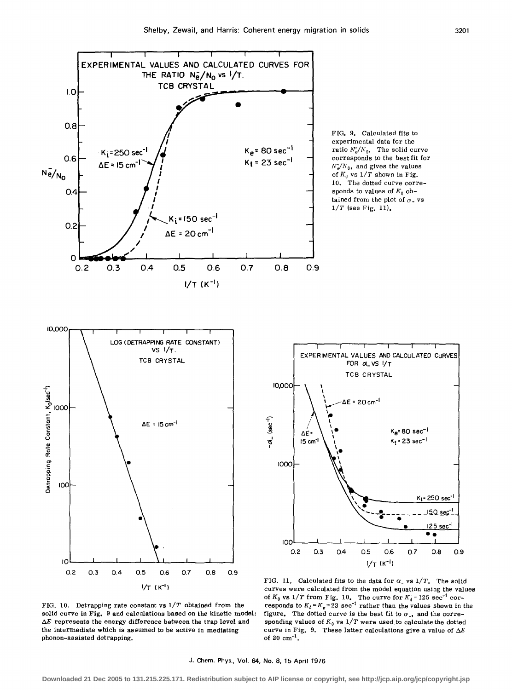

FIG. 10. Detrapping rate constant vs *1/T* obtained from the solid curve in Fig. 9 and calculations based on the kinetic model:  $\Delta E$  represents the energy difference between the trap level and the intermediate which is assumed to be active in mediating phonon-assisted detrapping.

FIG. 11. Calculated fits to the data for  $\alpha$ <sub>-</sub> vs  $1/T$ . The solid curves were calculated from the model equation using the values of  $K_0$  vs  $1/T$  from Fig. 10. The curve for  $K_i = 125 \text{ sec}^{-1} \text{ cor}$ responds to  $K_f = K_e = 23$  sec<sup>-1</sup> rather than the values shown in the figure. The dotted curve is the best fit to  $\alpha$ <sub>-</sub>, and the corresponding values of  $K_0$  vs  $1/T$  were used to calculate the dotted curve in Fig. 9. These latter calculations give a value of  $\Delta E$ of 20  $cm^{-1}$ .

50 sec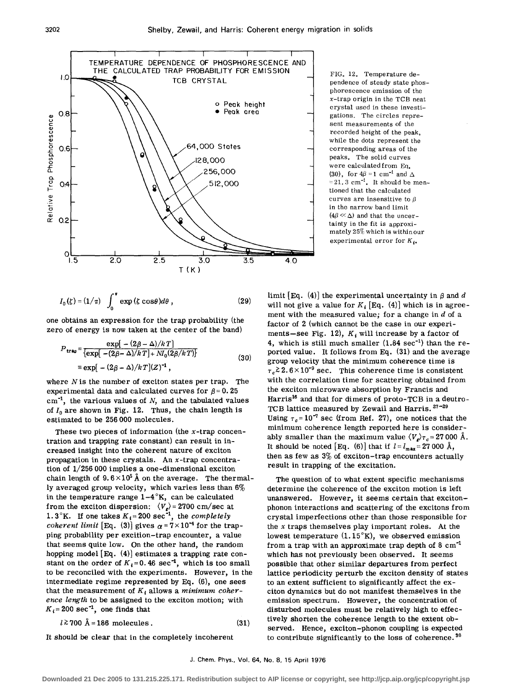

$$
I_0(\zeta) = (1/\pi) \int_0^{\pi} \exp(\zeta \cos\theta) d\theta, \qquad (29)
$$

one obtains an expression for the trap probability (the zero of energy is now taken at the center of the band)

$$
P_{\mathbf{tr}\mathbf{a}\mathbf{p}} = \frac{\exp[-(2\beta - \Delta)/k]T]}{\{\exp[-(2\beta - \Delta)/k] + M_0(2\beta/k)]\}}
$$
  
\n
$$
\equiv \exp[-(2\beta - \Delta)/k] (30)
$$
  
\n
$$
\exp[-(2\beta - \Delta)/k] (2)^{-1},
$$

where  $N$  is the number of exciton states per trap. The experimental data and calculated curves for  $\beta = 0.25$  $cm^{-1}$ , the various values of  $N$ , and the tabulated values of  $I_0$  are shown in Fig. 12. Thus, the chain length is estimated to be 256 000 molecules.

These two pieces of information (the  $x$ -trap concentration and trapping rate constant) can result in increased insight into the coherent nature of exciton propagation in these crystals. An  $x$ -trap concentration of 1/256 000 implies a one-dimensional exciton chain length of  $9.6 \times 10^5$  Å on the average. The thermally averaged group velocity, which varies less than 6% in the temperature range  $1-4$ °K, can be calculated from the exciton dispersion:  $\langle V_g \rangle$  = 2700 cm/sec at 1.3°K. If one takes  $K_i = 200 \text{ sec}^{-1}$ , the *completely coherent limit* [Eq. (3)] gives  $\alpha = 7 \times 10^{-4}$  for the trapping probability per excition-trap encounter, a value that seems quite low. On the other hand, the random hopping model [Eq. (4)) estimates a trapping rate constant on the order of  $K_i = 0.46 \text{ sec}^{-1}$ , which is too small to be reconciled with the experiments. However, in the intermediate regime represented by Eq. (6), one sees that the measurement of  $K_i$  allows a *minimum coherence length* to be assigned to the exciton motion; with  $K_i = 200 \text{ sec}^{-1}$ , one finds that

$$
l \ge 700 \text{ Å} = 186 \text{ molecules.}
$$
 (31)

It should be clear that in the completely incoherent

pendence of steady state phosphorescence emission of the x-trap origin in the TCB neat crystal used in these investigations. The circles represent measurements of the recorded height of the peak, while the dots represent the corresponding areas of the peaks, The solid curves were calculated from Eq, (30), for  $4\beta = 1$  cm<sup>-1</sup> and  $\Delta$  $=21.3$  cm<sup>-1</sup>. It should be mentioned that the calculated curves are insensitive to  $\beta$ in the narrow band limit  $(4\beta \ll \Delta)$  and that the uncertainty in the fit is approximately 25% which is within our experimental error for  $K_{i\bullet}$ 

limit [Eq. (4)] the experimental uncertainty in  $\beta$  and d will not give a value for  $K_i$  [Eq. (4)] which is in agreement with the measured value; for a change in *d* of a factor of 2 (which cannot be the case in our experiments-see Fig. 12),  $K_i$  will increase by a factor of 4, which is still much smaller  $(1.84 \text{ sec}^{-1})$  than the reported value. It follows from Eq. (31) and the average group velocity that the minimum coherence time is  $\tau_c \gtrsim 2.6 \times 10^{-9}$  sec. This coherence time is consistent with the correlation time for scattering obtained from the exciton microwave absorption by Francis and Harris<sup>16</sup> and that for dimers of proto-TCB in a deutro-TCB lattice measured by Zewail and Harris. 27-29 Using  $\tau_c$ =10<sup>-7</sup> sec (from Ref. 27), one notices that the minimum coherence length reported here is considerably smaller than the maximum value  $\langle V_{\rm g} \rangle_{\tau_c}=27000$  Å. It should be noted [Eq. (6)] that if  $l = l_{\text{max}} = 27000 \text{ Å}$ , then as few as 3% of exciton-trap encounters actually result in trapping of the excitation.

The question of to what extent specific mechanisms determine the coherence of the exciton motion is left unanswered. However, it seems certain that excitonphonon interactions and scattering of the excitons from crystal imperfections other than those responsible for the *x* traps themselves play important roles. At the lowest temperature  $(1.15<sup>o</sup>K)$ , we observed emission from a trap with an approximate trap depth of  $8 \text{ cm}^{-1}$ which has not previously been observed. It seems possible that other similar departures from perfect lattice periodicity perturb the exciton density of states to an extent sufficient to significantly affect the exciton dynamics but do not manifest themselves in the emission spectrum. However, the concentration of disturbed molecules must be relatively high to effectively shorten the coherence length to the extent observed. Hence, exciton-phonon coupling is expected to contribute significantly to the loss of coherence. 30